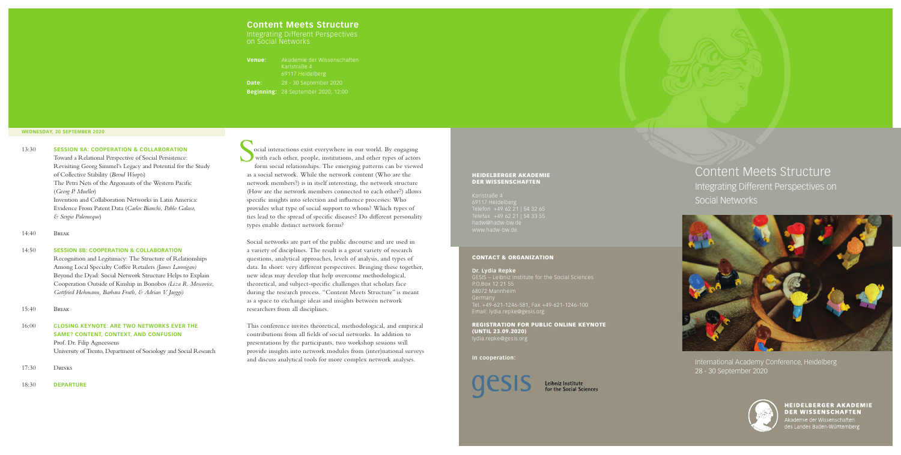International Academy Conference, Heidelberg 28 - 30 September 2020

### HEIDELBERGER AKADEMIE DER WISSENSCHAFTEN



### **HEIDELBERGER AKADEMIE DER WISSENSCHAFTEN**

Akademie der Wissenschaften

Telefon +49 62 21 | 54 32 65 hadw@hadw-bw.de

### CONTACT & ORGANIZATION

### **Dr. Lydia Repke**

GESIS – Leibniz Institute for the Social Sciences P.O.Box 12 21 55 Germany Tel. +49-621-1246-581, Fax +49-621-1246-100 Email: lydia.repke@gesis.org

REGISTRATION FOR PUBLIC ONLINE KEYNOTE (UNTIL 23.09.2020) lydia.repke@gesis.org

### **In cooperation:**



Leibniz Institute for the Social Sciences

ocial interactions exist everywhere in our world. By engaging with each other, people, institutions, and other types of actors form social relationships. The emerging patterns can be viewed as a social network. While the network content (Who are the network members?) is in itself interesting, the network structure (How are the network members connected to each other?) allows specific insights into selection and influence processes: Who provides what type of social support to whom? Which types of ties lead to the spread of specific diseases? Do different personality types enable distinct network forms?

Social networks are part of the public discourse and are used in a variety of disciplines. The result is a great variety of research questions, analytical approaches, levels of analysis, and types of data. In short: very different perspectives. Bringing these together, new ideas may develop that help overcome methodological, theoretical, and subject-specific challenges that scholars face during the research process. "Content Meets Structure" is meant as a space to exchange ideas and insights between network researchers from all disciplines.

This conference invites theoretical, methodological, and empirical contributions from all fields of social networks. In addition to presentations by the participants, two workshop sessions will provide insights into network modules from (inter)national surveys and discuss analytical tools for more complex network analyses.

## **Content Meets Structure**

Integrating Different Perspectives on Social Networks

| Venue: | Akademie der Wissenschaften<br>Karlstraße 4<br>69117 Heidelberg |
|--------|-----------------------------------------------------------------|
| Date:  | 28 - 30 September 2020                                          |
|        | <b>Beginning: 28 September 2020, 12:00</b>                      |

# Content Meets Structure Integrating Different Perspectives on Social Networks



13:30 **SESSION 8A: COOPERATION & COLLABORATION** Toward a Relational Perspective of Social Persistence: Revisiting Georg Simmel's Legacy and Potential for the Study of Collective Stability (*Bernd Wurpts*) The Petri Nets of the Argonauts of the Western Pacific (*Georg P. Mueller*) Invention and Collaboration Networks in Latin America: Evidence From Patent Data (*Carlos Bianchi, Pablo Galaso, & Sergio Palomeque*)

### 14:40 Break

### 14:50 **SESSION 8B: COOPERATION & COLLABORATION**

 Recognition and Legitimacy: The Structure of Relationships Among Local Specialty Coffee Retailers *(James Lannigan)*  Beyond the Dyad: Social Network Structure Helps to Explain Cooperation Outside of Kinship in Bonobos *(Liza R. Moscovice, Gottfried Hohmann, Barbara Fruth, & Adrian V. Jaeggi)*

15:40 Break

## 16:00 **CLOSING KEYNOTE: ARE TWO NETWORKS EVER THE SAME? CONTENT, CONTEXT, AND CONFUSION** Prof. Dr. Filip Agneessens University of Trento, Department of Sociology and Social Research

17:30 Drinks

18:30 **DEPARTURE**

### **WEDNESDAY, 30 SEPTEMBER 2020**